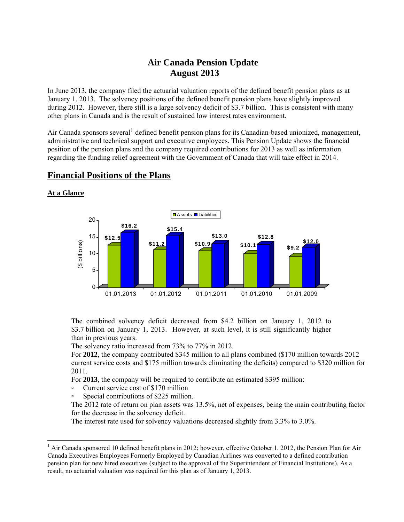# **Air Canada Pension Update August 2013**

In June 2013, the company filed the actuarial valuation reports of the defined benefit pension plans as at January 1, 2013. The solvency positions of the defined benefit pension plans have slightly improved during 2012. However, there still is a large solvency deficit of \$3.7 billion. This is consistent with many other plans in Canada and is the result of sustained low interest rates environment.

Air Canada sponsors several<sup>[1](#page-0-0)</sup> defined benefit pension plans for its Canadian-based unionized, management, administrative and technical support and executive employees. This Pension Update shows the financial position of the pension plans and the company required contributions for 2013 as well as information regarding the funding relief agreement with the Government of Canada that will take effect in 2014.



# **Financial Positions of the Plans**

**At a Glance** 

 $\overline{a}$ 

 The combined solvency deficit decreased from \$4.2 billion on January 1, 2012 to \$3.7 billion on January 1, 2013. However, at such level, it is still significantly higher than in previous years.

The solvency ratio increased from 73% to 77% in 2012.

 For **2012**, the company contributed \$345 million to all plans combined (\$170 million towards 2012 current service costs and \$175 million towards eliminating the deficits) compared to \$320 million for 2011.

For **2013**, the company will be required to contribute an estimated \$395 million:

- Current service cost of \$170 million
- Special contributions of \$225 million.

 The 2012 rate of return on plan assets was 13.5%, net of expenses, being the main contributing factor for the decrease in the solvency deficit.

The interest rate used for solvency valuations decreased slightly from 3.3% to 3.0%.

<span id="page-0-0"></span> $<sup>1</sup>$  Air Canada sponsored 10 defined benefit plans in 2012; however, effective October 1, 2012, the Pension Plan for Air</sup> Canada Executives Employees Formerly Employed by Canadian Airlines was converted to a defined contribution pension plan for new hired executives (subject to the approval of the Superintendent of Financial Institutions). As a result, no actuarial valuation was required for this plan as of January 1, 2013.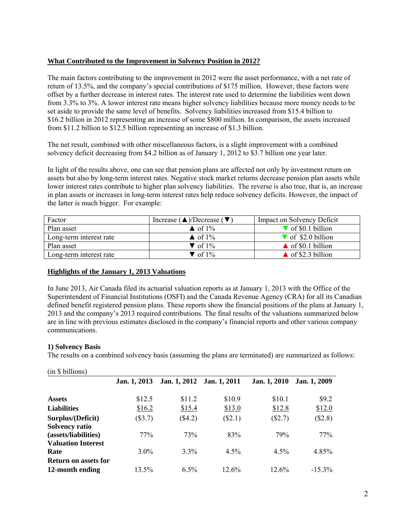## **What Contributed to the Improvement in Solvency Position in 2012?**

The main factors contributing to the improvement in 2012 were the asset performance, with a net rate of return of 13.5%, and the company's special contributions of \$175 million. However, these factors were offset by a further decrease in interest rates. The interest rate used to determine the liabilities went down from 3.3% to 3%. A lower interest rate means higher solvency liabilities because more money needs to be set aside to provide the same level of benefits. Solvency liabilities increased from \$15.4 billion to \$16.2 billion in 2012 representing an increase of some \$800 million. In comparison, the assets increased from \$11.2 billion to \$12.5 billion representing an increase of \$1.3 billion.

The net result, combined with other miscellaneous factors, is a slight improvement with a combined solvency deficit decreasing from \$4.2 billion as of January 1, 2012 to \$3.7 billion one year later.

In light of the results above, one can see that pension plans are affected not only by investment return on assets but also by long-term interest rates. Negative stock market returns decrease pension plan assets while lower interest rates contribute to higher plan solvency liabilities. The reverse is also true, that is, an increase in plan assets or increases in long-term interest rates help reduce solvency deficits. However, the impact of the latter is much bigger. For example:

| Factor                  | Increase ( $\triangle$ )/Decrease ( $\nabla$ ) | Impact on Solvency Deficit       |
|-------------------------|------------------------------------------------|----------------------------------|
| Plan asset              | $\triangle$ of 1%                              | $\sqrt{\ }$ of \$0.1 billion     |
| Long-term interest rate | $\triangle$ of 1%                              | $\triangledown$ of \$2.0 billion |
| Plan asset              | $\blacktriangledown$ of 1%                     | $\triangle$ of \$0.1 billion     |
| Long-term interest rate | $\triangledown$ of 1%                          | $\triangle$ of \$2.3 billion     |

## **Highlights of the January 1, 2013 Valuations**

In June 2013, Air Canada filed its actuarial valuation reports as at January 1, 2013 with the Office of the Superintendent of Financial Institutions (OSFI) and the Canada Revenue Agency (CRA) for all its Canadian defined benefit registered pension plans. These reports show the financial positions of the plans at January 1, 2013 and the company's 2013 required contributions. The final results of the valuations summarized below are in line with previous estimates disclosed in the company's financial reports and other various company communications.

#### **1) Solvency Basis**

The results on a combined solvency basis (assuming the plans are terminated) are summarized as follows:

| (in \$billions)             |              |              |              |              |              |
|-----------------------------|--------------|--------------|--------------|--------------|--------------|
|                             | Jan. 1, 2013 | Jan. 1, 2012 | Jan. 1, 2011 | Jan. 1, 2010 | Jan. 1, 2009 |
| <b>Assets</b>               | \$12.5       | \$11.2       | \$10.9       | \$10.1       | \$9.2        |
| <b>Liabilities</b>          | \$16.2       | \$15.4       | \$13.0       | \$12.8       | \$12.0       |
| Surplus/(Deficit)           | $(\$3.7)$    | $(\$4.2)$    | $(\$2.1)$    | $(\$2.7)$    | (\$2.8)      |
| <b>Solvency ratio</b>       |              |              |              |              |              |
| (assets/liabilities)        | 77%          | 73%          | 83%          | 79%          | 77%          |
| <b>Valuation Interest</b>   |              |              |              |              |              |
| Rate                        | $3.0\%$      | $3.3\%$      | 4.5%         | 4.5%         | 4.85%        |
| <b>Return on assets for</b> |              |              |              |              |              |
| 12-month ending             | 13.5%        | $6.5\%$      | 12.6%        | 12.6%        | $-15.3\%$    |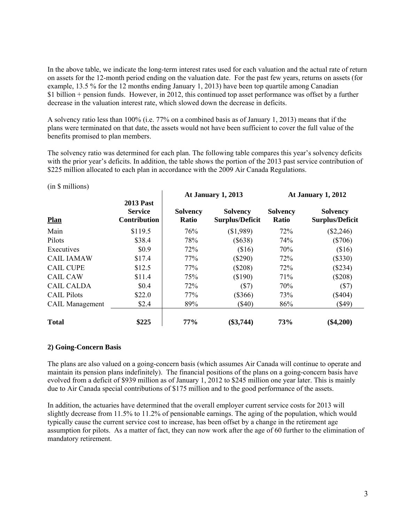In the above table, we indicate the long-term interest rates used for each valuation and the actual rate of return on assets for the 12-month period ending on the valuation date. For the past few years, returns on assets (for example, 13.5 % for the 12 months ending January 1, 2013) have been top quartile among Canadian \$1 billion + pension funds. However, in 2012, this continued top asset performance was offset by a further decrease in the valuation interest rate, which slowed down the decrease in deficits.

A solvency ratio less than 100% (i.e. 77% on a combined basis as of January 1, 2013) means that if the plans were terminated on that date, the assets would not have been sufficient to cover the full value of the benefits promised to plan members.

The solvency ratio was determined for each plan. The following table compares this year's solvency deficits with the prior year's deficits. In addition, the table shows the portion of the 2013 past service contribution of \$225 million allocated to each plan in accordance with the 2009 Air Canada Regulations.

### (in \$ millions)

| <b>Plan</b>            | <b>2013 Past</b><br><b>Service</b><br><b>Contribution</b> | <b>At January 1, 2013</b>       |                                           | At January 1, 2012              |                                           |
|------------------------|-----------------------------------------------------------|---------------------------------|-------------------------------------------|---------------------------------|-------------------------------------------|
|                        |                                                           | <b>Solvency</b><br><b>Ratio</b> | <b>Solvency</b><br><b>Surplus/Deficit</b> | <b>Solvency</b><br><b>Ratio</b> | <b>Solvency</b><br><b>Surplus/Deficit</b> |
| Main                   | \$119.5                                                   | 76%                             | (\$1,989)                                 | 72%                             | $(\$2,246)$                               |
| Pilots                 | \$38.4                                                    | 78%                             | $(\$638)$                                 | 74%                             | $(\$706)$                                 |
| Executives             | \$0.9                                                     | 72%                             | \$16)                                     | 70%                             | \$16)                                     |
| <b>CAIL IAMAW</b>      | \$17.4                                                    | 77%                             | $(\$290)$                                 | 72%                             | $(\$330)$                                 |
| <b>CAIL CUPE</b>       | \$12.5                                                    | 77%                             | $(\$208)$                                 | 72%                             | $(\$234)$                                 |
| <b>CAIL CAW</b>        | \$11.4                                                    | 75%                             | (\$190)                                   | 71%                             | $(\$208)$                                 |
| <b>CAIL CALDA</b>      | \$0.4                                                     | 72%                             | (S7)                                      | 70%                             | (S7)                                      |
| <b>CAIL Pilots</b>     | \$22.0                                                    | 77%                             | $(\$366)$                                 | 73%                             | $(\$404)$                                 |
| <b>CAIL</b> Management | \$2.4                                                     | 89%                             | $(\$40)$                                  | 86%                             | $($ \$49)                                 |
| <b>Total</b>           | \$225                                                     | 77%                             | $(\$3,744)$                               | 73%                             | $(\$4,200)$                               |

## **2) Going-Concern Basis**

The plans are also valued on a going-concern basis (which assumes Air Canada will continue to operate and maintain its pension plans indefinitely). The financial positions of the plans on a going-concern basis have evolved from a deficit of \$939 million as of January 1, 2012 to \$245 million one year later. This is mainly due to Air Canada special contributions of \$175 million and to the good performance of the assets.

In addition, the actuaries have determined that the overall employer current service costs for 2013 will slightly decrease from 11.5% to 11.2% of pensionable earnings. The aging of the population, which would typically cause the current service cost to increase, has been offset by a change in the retirement age assumption for pilots. As a matter of fact, they can now work after the age of 60 further to the elimination of mandatory retirement.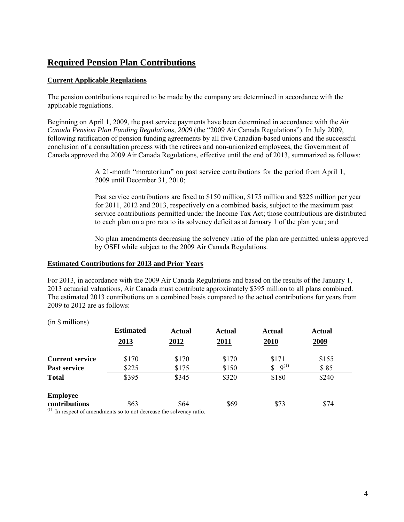# **Required Pension Plan Contributions**

## **Current Applicable Regulations**

The pension contributions required to be made by the company are determined in accordance with the applicable regulations.

Beginning on April 1, 2009, the past service payments have been determined in accordance with the *Air Canada Pension Plan Funding Regulations, 2009* (the "2009 Air Canada Regulations"). In July 2009, following ratification of pension funding agreements by all five Canadian-based unions and the successful conclusion of a consultation process with the retirees and non-unionized employees, the Government of Canada approved the 2009 Air Canada Regulations, effective until the end of 2013, summarized as follows:

> A 21-month "moratorium" on past service contributions for the period from April 1, 2009 until December 31, 2010;

 Past service contributions are fixed to \$150 million, \$175 million and \$225 million per year for 2011, 2012 and 2013, respectively on a combined basis, subject to the maximum past service contributions permitted under the Income Tax Act; those contributions are distributed to each plan on a pro rata to its solvency deficit as at January 1 of the plan year; and

 No plan amendments decreasing the solvency ratio of the plan are permitted unless approved by OSFI while subject to the 2009 Air Canada Regulations.

### **Estimated Contributions for 2013 and Prior Years**

For 2013, in accordance with the 2009 Air Canada Regulations and based on the results of the January 1, 2013 actuarial valuations, Air Canada must contribute approximately \$395 million to all plans combined. The estimated 2013 contributions on a combined basis compared to the actual contributions for years from 2009 to 2012 are as follows:

| (in \$ millions)                                                             |                  |               |             |                 |        |
|------------------------------------------------------------------------------|------------------|---------------|-------------|-----------------|--------|
|                                                                              | <b>Estimated</b> | <b>Actual</b> | Actual      | <b>Actual</b>   | Actual |
|                                                                              | 2013             | 2012          | <u>2011</u> | <b>2010</b>     | 2009   |
| <b>Current service</b>                                                       | \$170            | \$170         | \$170       | \$171           | \$155  |
| <b>Past service</b>                                                          | \$225            | \$175         | \$150       | $9^{(1)}$<br>\$ | \$85   |
| <b>Total</b>                                                                 | \$395            | \$345         | \$320       | \$180           | \$240  |
| <b>Employee</b>                                                              |                  |               |             |                 |        |
| contributions                                                                | \$63             | \$64          | \$69        | \$73            | \$74   |
| $\frac{1}{1}$ In regneet of emendments so to not decrease the solveney ratio |                  |               |             |                 |        |

In respect of amendments so to not decrease the solvency ratio.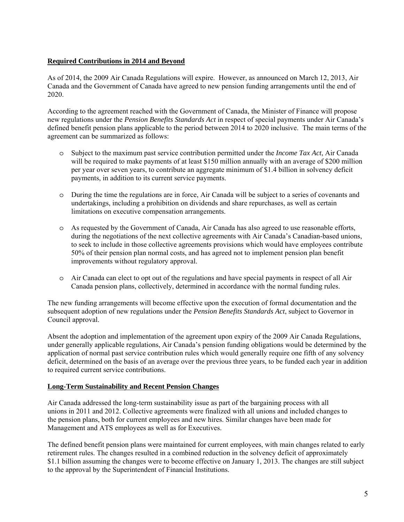## **Required Contributions in 2014 and Beyond**

As of 2014, the 2009 Air Canada Regulations will expire. However, as announced on March 12, 2013, Air Canada and the Government of Canada have agreed to new pension funding arrangements until the end of 2020.

According to the agreement reached with the Government of Canada, the Minister of Finance will propose new regulations under the *Pension Benefits Standards Act* in respect of special payments under Air Canada's defined benefit pension plans applicable to the period between 2014 to 2020 inclusive. The main terms of the agreement can be summarized as follows:

- o Subject to the maximum past service contribution permitted under the *Income Tax Act*, Air Canada will be required to make payments of at least \$150 million annually with an average of \$200 million per year over seven years, to contribute an aggregate minimum of \$1.4 billion in solvency deficit payments, in addition to its current service payments.
- o During the time the regulations are in force, Air Canada will be subject to a series of covenants and undertakings, including a prohibition on dividends and share repurchases, as well as certain limitations on executive compensation arrangements.
- o As requested by the Government of Canada, Air Canada has also agreed to use reasonable efforts, during the negotiations of the next collective agreements with Air Canada's Canadian-based unions, to seek to include in those collective agreements provisions which would have employees contribute 50% of their pension plan normal costs, and has agreed not to implement pension plan benefit improvements without regulatory approval.
- o Air Canada can elect to opt out of the regulations and have special payments in respect of all Air Canada pension plans, collectively, determined in accordance with the normal funding rules.

The new funding arrangements will become effective upon the execution of formal documentation and the subsequent adoption of new regulations under the *Pension Benefits Standards Act*, subject to Governor in Council approval.

Absent the adoption and implementation of the agreement upon expiry of the 2009 Air Canada Regulations, under generally applicable regulations, Air Canada's pension funding obligations would be determined by the application of normal past service contribution rules which would generally require one fifth of any solvency deficit, determined on the basis of an average over the previous three years, to be funded each year in addition to required current service contributions.

## **Long-Term Sustainability and Recent Pension Changes**

Air Canada addressed the long-term sustainability issue as part of the bargaining process with all unions in 2011 and 2012. Collective agreements were finalized with all unions and included changes to the pension plans, both for current employees and new hires. Similar changes have been made for Management and ATS employees as well as for Executives.

The defined benefit pension plans were maintained for current employees, with main changes related to early retirement rules. The changes resulted in a combined reduction in the solvency deficit of approximately \$1.1 billion assuming the changes were to become effective on January 1, 2013. The changes are still subject to the approval by the Superintendent of Financial Institutions.